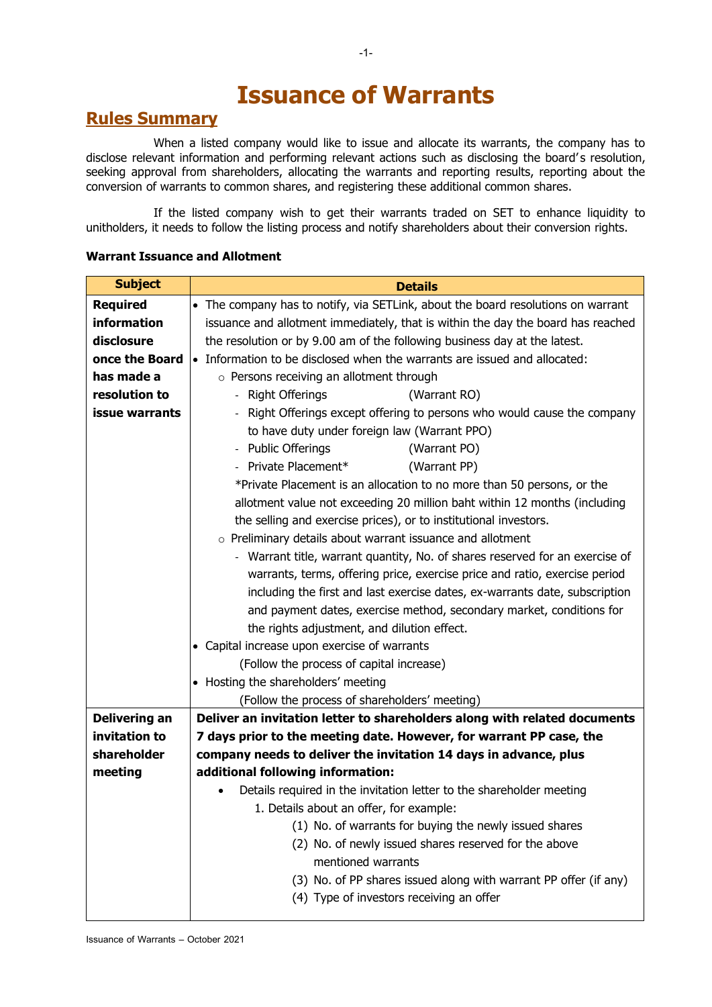# **Issuance of Warrants**

### **Rules Summary**

When a listed company would like to issue and allocate its warrants, the company has to disclose relevant information and performing relevant actions such as disclosing the board's resolution, seeking approval from shareholders, allocating the warrants and reporting results, reporting about the conversion of warrants to common shares, and registering these additional common shares.

If the listed company wish to get their warrants traded on SET to enhance liquidity to unitholders, it needs to follow the listing process and notify shareholders about their conversion rights.

#### **Warrant Issuance and Allotment**

| <b>Subject</b>       | <b>Details</b>                                                                   |  |  |  |  |
|----------------------|----------------------------------------------------------------------------------|--|--|--|--|
| <b>Required</b>      | • The company has to notify, via SETLink, about the board resolutions on warrant |  |  |  |  |
| information          | issuance and allotment immediately, that is within the day the board has reached |  |  |  |  |
| disclosure           | the resolution or by 9.00 am of the following business day at the latest.        |  |  |  |  |
| once the Board       | • Information to be disclosed when the warrants are issued and allocated:        |  |  |  |  |
| has made a           | o Persons receiving an allotment through                                         |  |  |  |  |
| resolution to        | - Right Offerings<br>(Warrant RO)                                                |  |  |  |  |
| issue warrants       | Right Offerings except offering to persons who would cause the company           |  |  |  |  |
|                      | to have duty under foreign law (Warrant PPO)                                     |  |  |  |  |
|                      | - Public Offerings<br>(Warrant PO)                                               |  |  |  |  |
|                      | - Private Placement*<br>(Warrant PP)                                             |  |  |  |  |
|                      | *Private Placement is an allocation to no more than 50 persons, or the           |  |  |  |  |
|                      | allotment value not exceeding 20 million baht within 12 months (including        |  |  |  |  |
|                      | the selling and exercise prices), or to institutional investors.                 |  |  |  |  |
|                      | $\circ$ Preliminary details about warrant issuance and allotment                 |  |  |  |  |
|                      | - Warrant title, warrant quantity, No. of shares reserved for an exercise of     |  |  |  |  |
|                      | warrants, terms, offering price, exercise price and ratio, exercise period       |  |  |  |  |
|                      | including the first and last exercise dates, ex-warrants date, subscription      |  |  |  |  |
|                      | and payment dates, exercise method, secondary market, conditions for             |  |  |  |  |
|                      | the rights adjustment, and dilution effect.                                      |  |  |  |  |
|                      | • Capital increase upon exercise of warrants                                     |  |  |  |  |
|                      | (Follow the process of capital increase)                                         |  |  |  |  |
|                      | • Hosting the shareholders' meeting                                              |  |  |  |  |
|                      | (Follow the process of shareholders' meeting)                                    |  |  |  |  |
| <b>Delivering an</b> | Deliver an invitation letter to shareholders along with related documents        |  |  |  |  |
| invitation to        | 7 days prior to the meeting date. However, for warrant PP case, the              |  |  |  |  |
| shareholder          | company needs to deliver the invitation 14 days in advance, plus                 |  |  |  |  |
| meeting              | additional following information:                                                |  |  |  |  |
|                      | Details required in the invitation letter to the shareholder meeting             |  |  |  |  |
|                      | 1. Details about an offer, for example:                                          |  |  |  |  |
|                      | (1) No. of warrants for buying the newly issued shares                           |  |  |  |  |
|                      | (2) No. of newly issued shares reserved for the above                            |  |  |  |  |
|                      | mentioned warrants                                                               |  |  |  |  |
|                      | (3) No. of PP shares issued along with warrant PP offer (if any)                 |  |  |  |  |
|                      | (4) Type of investors receiving an offer                                         |  |  |  |  |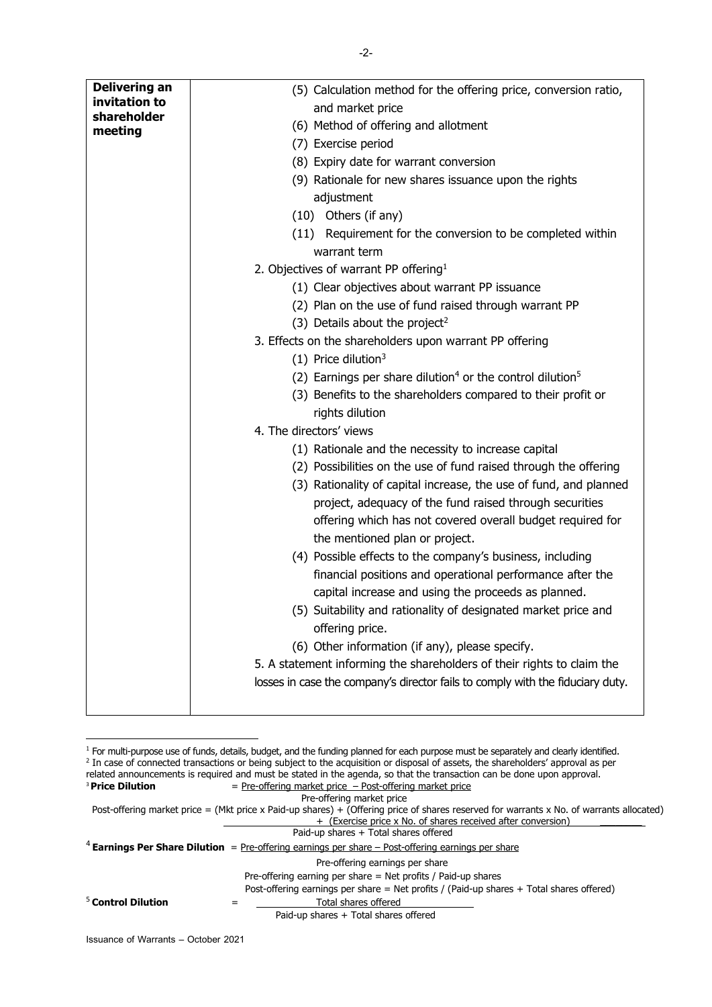| <b>Delivering an</b>   | (5) Calculation method for the offering price, conversion ratio,                  |
|------------------------|-----------------------------------------------------------------------------------|
| invitation to          | and market price                                                                  |
| shareholder<br>meeting | (6) Method of offering and allotment                                              |
|                        | (7) Exercise period                                                               |
|                        | (8) Expiry date for warrant conversion                                            |
|                        | (9) Rationale for new shares issuance upon the rights                             |
|                        | adjustment                                                                        |
|                        | Others (if any)<br>(10)                                                           |
|                        | (11) Requirement for the conversion to be completed within                        |
|                        | warrant term                                                                      |
|                        | 2. Objectives of warrant PP offering <sup>1</sup>                                 |
|                        | (1) Clear objectives about warrant PP issuance                                    |
|                        | (2) Plan on the use of fund raised through warrant PP                             |
|                        | (3) Details about the project <sup>2</sup>                                        |
|                        | 3. Effects on the shareholders upon warrant PP offering                           |
|                        | $(1)$ Price dilution <sup>3</sup>                                                 |
|                        | (2) Earnings per share dilution <sup>4</sup> or the control dilution <sup>5</sup> |
|                        | (3) Benefits to the shareholders compared to their profit or                      |
|                        | rights dilution                                                                   |
|                        | 4. The directors' views                                                           |
|                        | (1) Rationale and the necessity to increase capital                               |
|                        | (2) Possibilities on the use of fund raised through the offering                  |
|                        | (3) Rationality of capital increase, the use of fund, and planned                 |
|                        | project, adequacy of the fund raised through securities                           |
|                        | offering which has not covered overall budget required for                        |
|                        | the mentioned plan or project.                                                    |
|                        | (4) Possible effects to the company's business, including                         |
|                        | financial positions and operational performance after the                         |
|                        | capital increase and using the proceeds as planned.                               |
|                        | (5) Suitability and rationality of designated market price and                    |
|                        | offering price.                                                                   |
|                        | (6) Other information (if any), please specify.                                   |
|                        | 5. A statement informing the shareholders of their rights to claim the            |
|                        | losses in case the company's director fails to comply with the fiduciary duty.    |
|                        |                                                                                   |
|                        |                                                                                   |

<sup>&</sup>lt;sup>1</sup> For multi-purpose use of funds, details, budget, and the funding planned for each purpose must be separately and clearly identified. <sup>2</sup> In case of connected transactions or being subject to the acquisition or disposal of assets, the shareholders' approval as per related announcements is required and must be stated in the agenda, so that the transaction can be done upon approval. <sup>3</sup> Price Dilution = Pre-offering market price – Post-offering market price Pre-offering market price Post-offering market price = (Mkt price x Paid-up shares) + (Offering price of shares reserved for warrants x No. of warrants allocated) + (Exercise price x No. of shares received after conversion) Paid-up shares + Total shares offered <sup>4</sup> Earnings Per Share Dilution = Pre-offering earnings per share – Post-offering earnings per share Pre-offering earnings per share Pre-offering earning per share = Net profits / Paid-up shares Post-offering earnings per share = Net profits / (Paid-up shares + Total shares offered) <sup>5</sup> **Control Dilution** = Total shares offered Paid-up shares + Total shares offered

**.**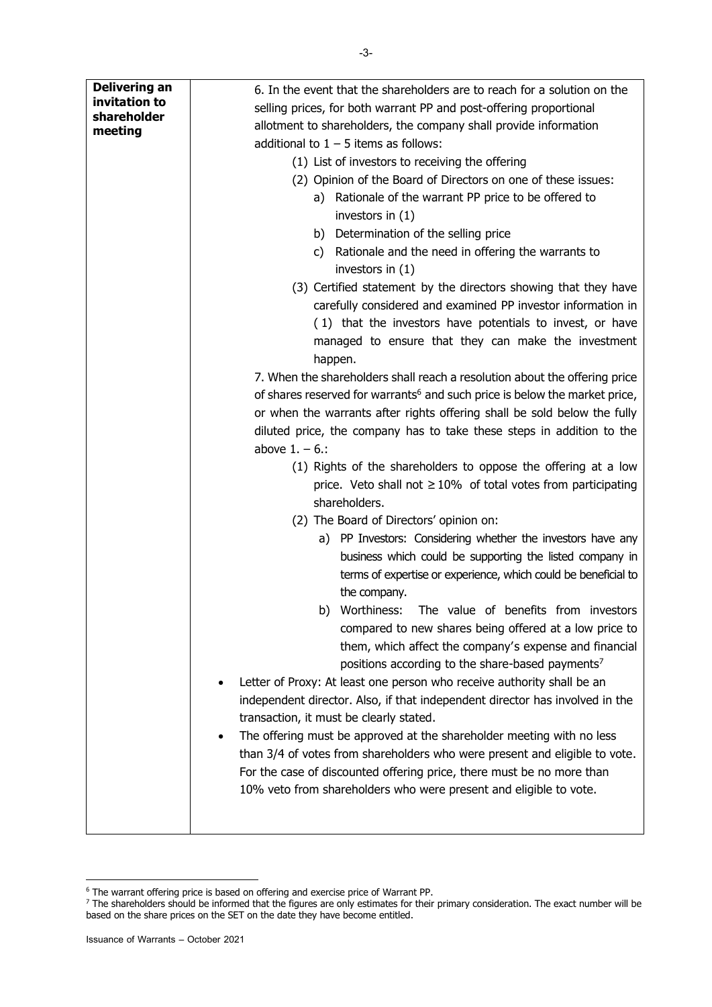| <b>Delivering an</b><br>invitation to<br>shareholder<br>meeting | 6. In the event that the shareholders are to reach for a solution on the<br>selling prices, for both warrant PP and post-offering proportional<br>allotment to shareholders, the company shall provide information<br>additional to $1 - 5$ items as follows:<br>(1) List of investors to receiving the offering<br>(2) Opinion of the Board of Directors on one of these issues:<br>a) Rationale of the warrant PP price to be offered to<br>investors in $(1)$<br>b) Determination of the selling price<br>c) Rationale and the need in offering the warrants to<br>investors in $(1)$<br>(3) Certified statement by the directors showing that they have<br>carefully considered and examined PP investor information in<br>(1) that the investors have potentials to invest, or have<br>managed to ensure that they can make the investment<br>happen.<br>7. When the shareholders shall reach a resolution about the offering price<br>of shares reserved for warrants <sup>6</sup> and such price is below the market price,<br>or when the warrants after rights offering shall be sold below the fully<br>diluted price, the company has to take these steps in addition to the<br>above $1. - 6.$ :<br>(1) Rights of the shareholders to oppose the offering at a low<br>price. Veto shall not $\geq 10\%$ of total votes from participating<br>shareholders.<br>(2) The Board of Directors' opinion on:<br>a) PP Investors: Considering whether the investors have any<br>business which could be supporting the listed company in<br>terms of expertise or experience, which could be beneficial to<br>the company. |
|-----------------------------------------------------------------|--------------------------------------------------------------------------------------------------------------------------------------------------------------------------------------------------------------------------------------------------------------------------------------------------------------------------------------------------------------------------------------------------------------------------------------------------------------------------------------------------------------------------------------------------------------------------------------------------------------------------------------------------------------------------------------------------------------------------------------------------------------------------------------------------------------------------------------------------------------------------------------------------------------------------------------------------------------------------------------------------------------------------------------------------------------------------------------------------------------------------------------------------------------------------------------------------------------------------------------------------------------------------------------------------------------------------------------------------------------------------------------------------------------------------------------------------------------------------------------------------------------------------------------------------------------------------------------------------------------------------------|
|                                                                 |                                                                                                                                                                                                                                                                                                                                                                                                                                                                                                                                                                                                                                                                                                                                                                                                                                                                                                                                                                                                                                                                                                                                                                                                                                                                                                                                                                                                                                                                                                                                                                                                                                |
|                                                                 | b) Worthiness: The value of benefits from investors<br>compared to new shares being offered at a low price to                                                                                                                                                                                                                                                                                                                                                                                                                                                                                                                                                                                                                                                                                                                                                                                                                                                                                                                                                                                                                                                                                                                                                                                                                                                                                                                                                                                                                                                                                                                  |
|                                                                 | them, which affect the company's expense and financial<br>positions according to the share-based payments <sup>7</sup><br>Letter of Proxy: At least one person who receive authority shall be an<br>independent director. Also, if that independent director has involved in the                                                                                                                                                                                                                                                                                                                                                                                                                                                                                                                                                                                                                                                                                                                                                                                                                                                                                                                                                                                                                                                                                                                                                                                                                                                                                                                                               |
|                                                                 | transaction, it must be clearly stated.<br>The offering must be approved at the shareholder meeting with no less                                                                                                                                                                                                                                                                                                                                                                                                                                                                                                                                                                                                                                                                                                                                                                                                                                                                                                                                                                                                                                                                                                                                                                                                                                                                                                                                                                                                                                                                                                               |
|                                                                 | than 3/4 of votes from shareholders who were present and eligible to vote.<br>For the case of discounted offering price, there must be no more than<br>10% veto from shareholders who were present and eligible to vote.                                                                                                                                                                                                                                                                                                                                                                                                                                                                                                                                                                                                                                                                                                                                                                                                                                                                                                                                                                                                                                                                                                                                                                                                                                                                                                                                                                                                       |

<sup>1</sup>  $6$  The warrant offering price is based on offering and exercise price of Warrant PP.

 $<sup>7</sup>$  The shareholders should be informed that the figures are only estimates for their primary consideration. The exact number will be</sup> based on the share prices on the SET on the date they have become entitled.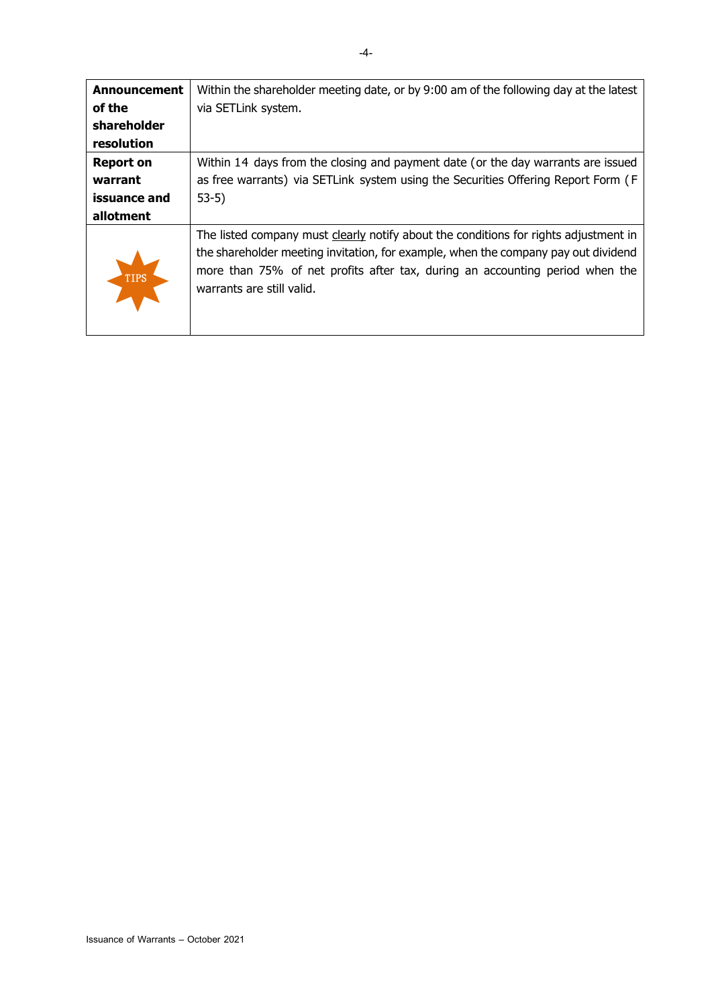| Announcement     | Within the shareholder meeting date, or by 9:00 am of the following day at the latest                                                                                                                                                                                                   |
|------------------|-----------------------------------------------------------------------------------------------------------------------------------------------------------------------------------------------------------------------------------------------------------------------------------------|
| of the           | via SETLink system.                                                                                                                                                                                                                                                                     |
| shareholder      |                                                                                                                                                                                                                                                                                         |
| resolution       |                                                                                                                                                                                                                                                                                         |
| <b>Report on</b> | Within 14 days from the closing and payment date (or the day warrants are issued                                                                                                                                                                                                        |
| warrant          | as free warrants) via SETLink system using the Securities Offering Report Form (F                                                                                                                                                                                                       |
| issuance and     | $53-5)$                                                                                                                                                                                                                                                                                 |
| allotment        |                                                                                                                                                                                                                                                                                         |
| TIPS             | The listed company must clearly notify about the conditions for rights adjustment in<br>the shareholder meeting invitation, for example, when the company pay out dividend<br>more than 75% of net profits after tax, during an accounting period when the<br>warrants are still valid. |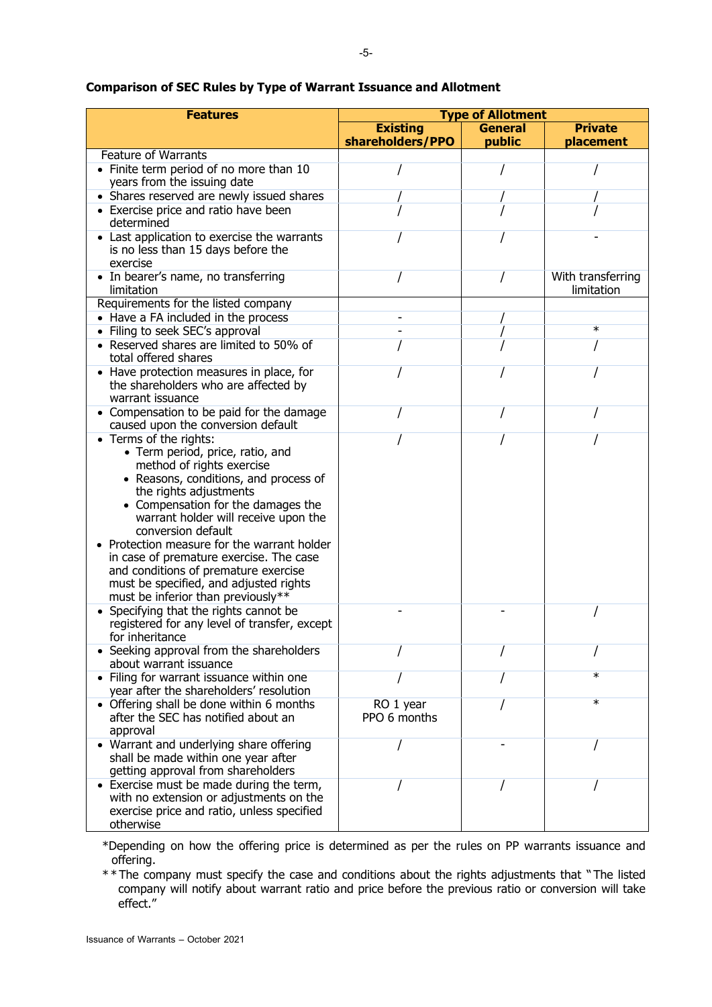| <b>Features</b>                                                                                                                                                                                                                                                                                                                                                                                                                                                                | <b>Type of Allotment</b>  |                |                                 |
|--------------------------------------------------------------------------------------------------------------------------------------------------------------------------------------------------------------------------------------------------------------------------------------------------------------------------------------------------------------------------------------------------------------------------------------------------------------------------------|---------------------------|----------------|---------------------------------|
|                                                                                                                                                                                                                                                                                                                                                                                                                                                                                | <b>Existing</b>           | <b>General</b> | <b>Private</b>                  |
|                                                                                                                                                                                                                                                                                                                                                                                                                                                                                | shareholders/PPO          | public         | placement                       |
| <b>Feature of Warrants</b>                                                                                                                                                                                                                                                                                                                                                                                                                                                     |                           |                |                                 |
| • Finite term period of no more than 10<br>years from the issuing date                                                                                                                                                                                                                                                                                                                                                                                                         |                           |                |                                 |
| • Shares reserved are newly issued shares                                                                                                                                                                                                                                                                                                                                                                                                                                      |                           |                |                                 |
| • Exercise price and ratio have been<br>determined                                                                                                                                                                                                                                                                                                                                                                                                                             |                           |                |                                 |
| • Last application to exercise the warrants<br>is no less than 15 days before the<br>exercise                                                                                                                                                                                                                                                                                                                                                                                  |                           |                |                                 |
| • In bearer's name, no transferring<br>limitation                                                                                                                                                                                                                                                                                                                                                                                                                              |                           |                | With transferring<br>limitation |
| Requirements for the listed company                                                                                                                                                                                                                                                                                                                                                                                                                                            |                           |                |                                 |
| • Have a FA included in the process                                                                                                                                                                                                                                                                                                                                                                                                                                            |                           |                |                                 |
| • Filing to seek SEC's approval                                                                                                                                                                                                                                                                                                                                                                                                                                                |                           |                | $\ast$                          |
| • Reserved shares are limited to 50% of<br>total offered shares                                                                                                                                                                                                                                                                                                                                                                                                                |                           |                |                                 |
| • Have protection measures in place, for<br>the shareholders who are affected by<br>warrant issuance                                                                                                                                                                                                                                                                                                                                                                           |                           |                |                                 |
| • Compensation to be paid for the damage<br>caused upon the conversion default                                                                                                                                                                                                                                                                                                                                                                                                 |                           |                |                                 |
| • Terms of the rights:<br>• Term period, price, ratio, and<br>method of rights exercise<br>• Reasons, conditions, and process of<br>the rights adjustments<br>• Compensation for the damages the<br>warrant holder will receive upon the<br>conversion default<br>Protection measure for the warrant holder<br>in case of premature exercise. The case<br>and conditions of premature exercise<br>must be specified, and adjusted rights<br>must be inferior than previously** |                           |                |                                 |
| • Specifying that the rights cannot be<br>registered for any level of transfer, except<br>for inheritance                                                                                                                                                                                                                                                                                                                                                                      |                           |                |                                 |
| • Seeking approval from the shareholders<br>about warrant issuance                                                                                                                                                                                                                                                                                                                                                                                                             |                           |                |                                 |
| • Filing for warrant issuance within one<br>year after the shareholders' resolution                                                                                                                                                                                                                                                                                                                                                                                            |                           |                | $\ast$                          |
| • Offering shall be done within 6 months<br>after the SEC has notified about an<br>approval                                                                                                                                                                                                                                                                                                                                                                                    | RO 1 year<br>PPO 6 months |                | $\ast$                          |
| • Warrant and underlying share offering<br>shall be made within one year after<br>getting approval from shareholders                                                                                                                                                                                                                                                                                                                                                           |                           |                |                                 |
| • Exercise must be made during the term,<br>with no extension or adjustments on the<br>exercise price and ratio, unless specified<br>otherwise                                                                                                                                                                                                                                                                                                                                 |                           |                |                                 |

### **Comparison of SEC Rules by Type of Warrant Issuance and Allotment**

\*Depending on how the offering price is determined as per the rules on PP warrants issuance and offering.

\*\* The company must specify the case and conditions about the rights adjustments that " The listed company will notify about warrant ratio and price before the previous ratio or conversion will take effect."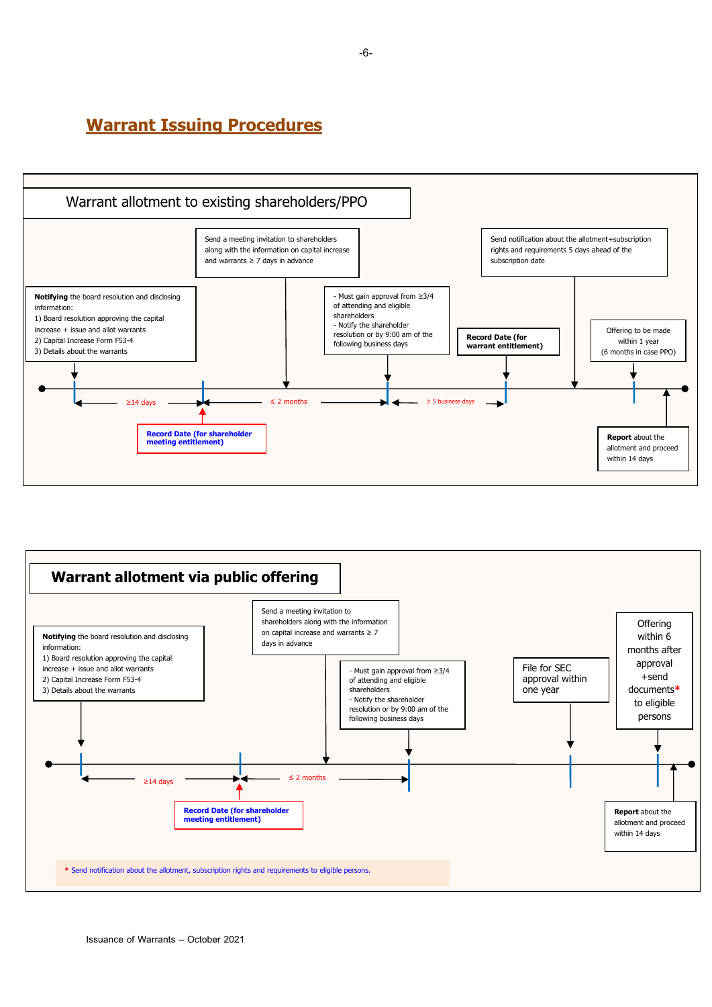### **Warrant Issuing Procedures**





Issuance of Warrants – October 2021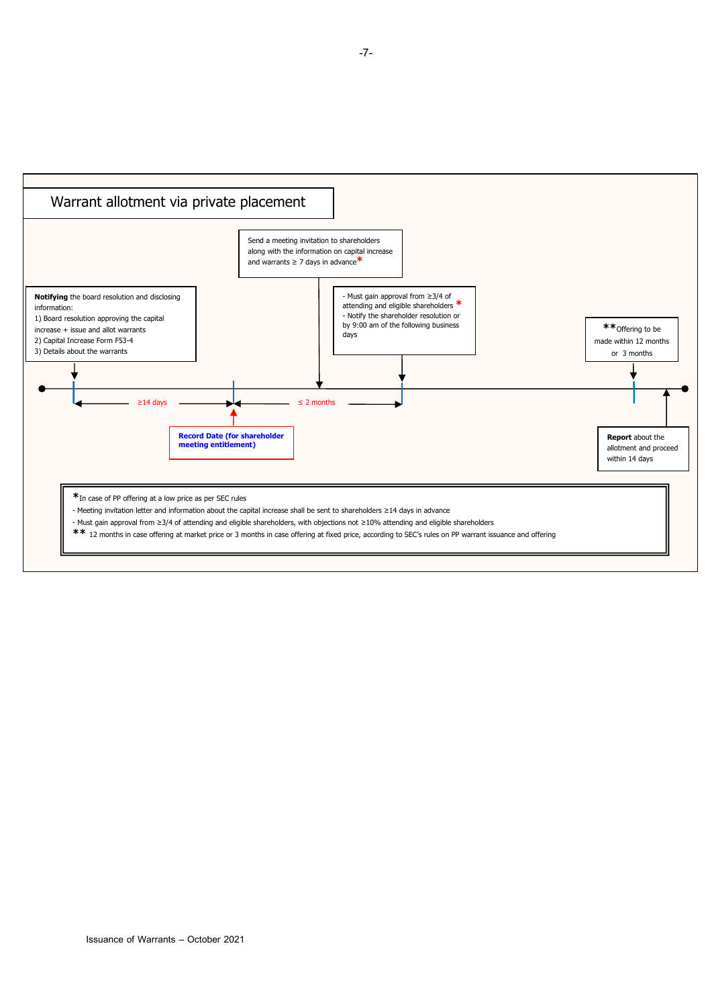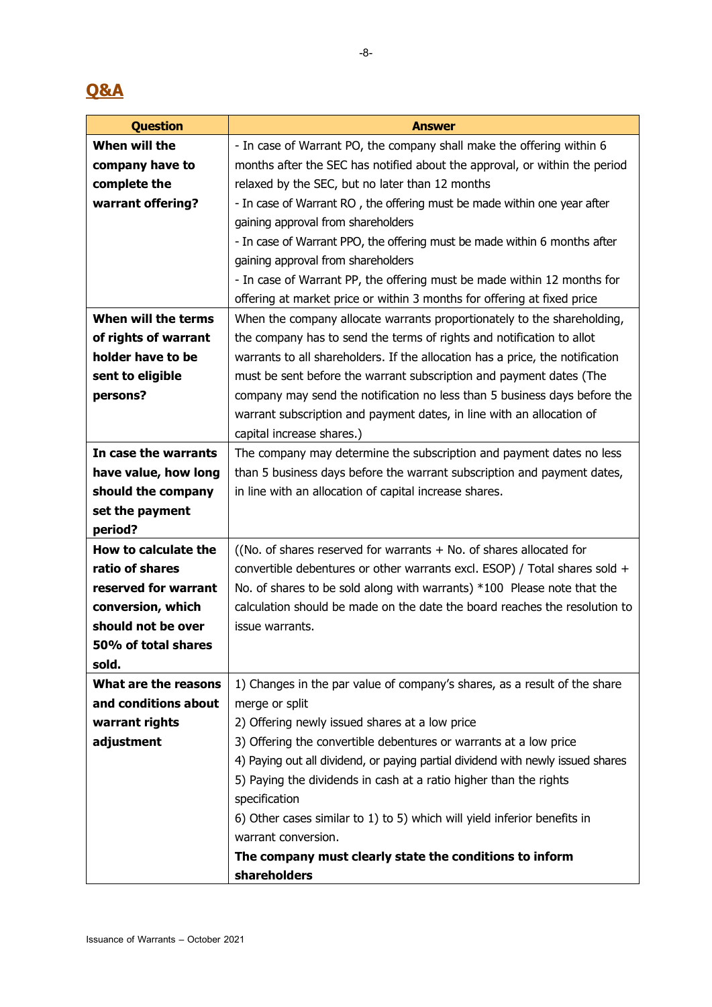# **Q&A**

| <b>Question</b>      | <b>Answer</b>                                                                   |  |  |
|----------------------|---------------------------------------------------------------------------------|--|--|
| When will the        | - In case of Warrant PO, the company shall make the offering within 6           |  |  |
| company have to      | months after the SEC has notified about the approval, or within the period      |  |  |
| complete the         | relaxed by the SEC, but no later than 12 months                                 |  |  |
| warrant offering?    | - In case of Warrant RO, the offering must be made within one year after        |  |  |
|                      | gaining approval from shareholders                                              |  |  |
|                      | - In case of Warrant PPO, the offering must be made within 6 months after       |  |  |
|                      | gaining approval from shareholders                                              |  |  |
|                      | - In case of Warrant PP, the offering must be made within 12 months for         |  |  |
|                      | offering at market price or within 3 months for offering at fixed price         |  |  |
| When will the terms  | When the company allocate warrants proportionately to the shareholding,         |  |  |
| of rights of warrant | the company has to send the terms of rights and notification to allot           |  |  |
| holder have to be    | warrants to all shareholders. If the allocation has a price, the notification   |  |  |
| sent to eligible     | must be sent before the warrant subscription and payment dates (The             |  |  |
| persons?             | company may send the notification no less than 5 business days before the       |  |  |
|                      | warrant subscription and payment dates, in line with an allocation of           |  |  |
|                      | capital increase shares.)                                                       |  |  |
| In case the warrants | The company may determine the subscription and payment dates no less            |  |  |
| have value, how long | than 5 business days before the warrant subscription and payment dates,         |  |  |
| should the company   | in line with an allocation of capital increase shares.                          |  |  |
| set the payment      |                                                                                 |  |  |
| period?              |                                                                                 |  |  |
| How to calculate the | ((No. of shares reserved for warrants $+$ No. of shares allocated for           |  |  |
| ratio of shares      | convertible debentures or other warrants excl. ESOP) / Total shares sold $+$    |  |  |
| reserved for warrant | No. of shares to be sold along with warrants) *100 Please note that the         |  |  |
| conversion, which    | calculation should be made on the date the board reaches the resolution to      |  |  |
| should not be over   | issue warrants.                                                                 |  |  |
| 50% of total shares  |                                                                                 |  |  |
| sold.                |                                                                                 |  |  |
| What are the reasons | 1) Changes in the par value of company's shares, as a result of the share       |  |  |
| and conditions about | merge or split                                                                  |  |  |
| warrant rights       | 2) Offering newly issued shares at a low price                                  |  |  |
| adjustment           | 3) Offering the convertible debentures or warrants at a low price               |  |  |
|                      | 4) Paying out all dividend, or paying partial dividend with newly issued shares |  |  |
|                      | 5) Paying the dividends in cash at a ratio higher than the rights               |  |  |
|                      | specification                                                                   |  |  |
|                      | 6) Other cases similar to 1) to 5) which will yield inferior benefits in        |  |  |
|                      | warrant conversion.                                                             |  |  |
|                      | The company must clearly state the conditions to inform                         |  |  |
|                      | shareholders                                                                    |  |  |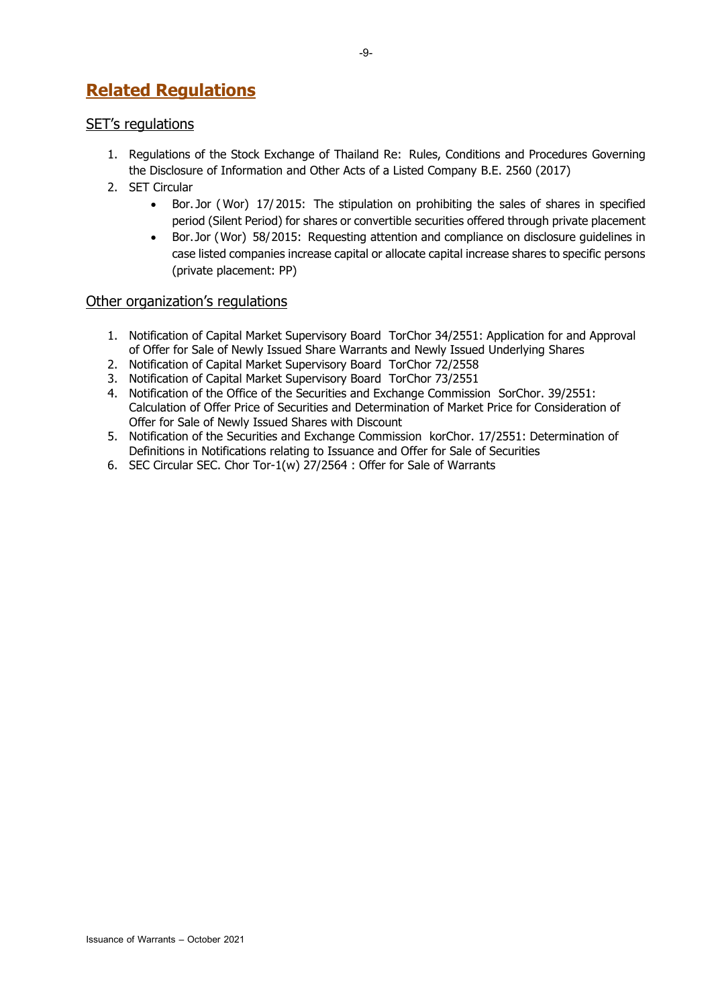# **Related Regulations**

### SET's regulations

- 1. Regulations of the Stock Exchange of Thailand Re: Rules, Conditions and Procedures Governing the Disclosure of Information and Other Acts of a Listed Company B.E. 2560 (2017)
- 2. SET Circular
	- Bor. Jor ( Wor) 17/ 2015: The stipulation on prohibiting the sales of shares in specified period (Silent Period) for shares or convertible securities offered through private placement
	- Bor. Jor (Wor) 58/2015: Requesting attention and compliance on disclosure guidelines in case listed companies increase capital or allocate capital increase shares to specific persons (private placement: PP)

### Other organization's regulations

- 1. Notification of Capital Market Supervisory Board TorChor 34/2551: Application for and Approval of Offer for Sale of Newly Issued Share Warrants and Newly Issued Underlying Shares
- 2. Notification of Capital Market Supervisory Board TorChor 72/2558
- 3. Notification of Capital Market Supervisory Board TorChor 73/2551
- 4. Notification of the Office of the Securities and Exchange Commission SorChor. 39/2551: Calculation of Offer Price of Securities and Determination of Market Price for Consideration of Offer for Sale of Newly Issued Shares with Discount
- 5. Notification of the Securities and Exchange Commission korChor. 17/2551: Determination of Definitions in Notifications relating to Issuance and Offer for Sale of Securities
- 6. SEC Circular SEC. Chor Tor-1(w) 27/2564 : Offer for Sale of Warrants